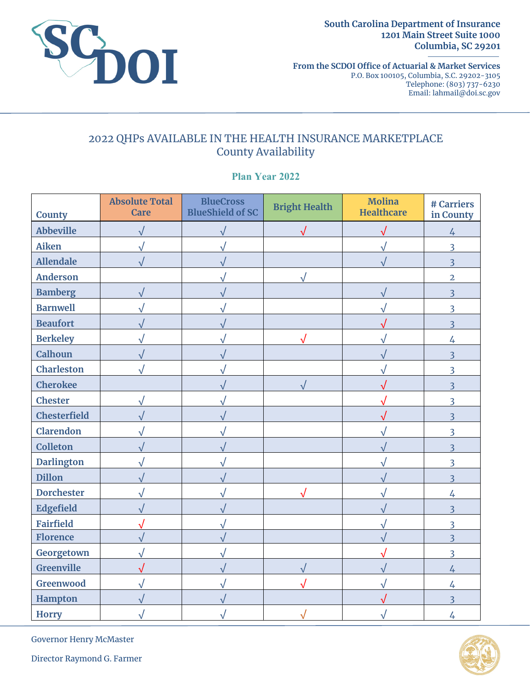

**South Carolina Department of Insurance 1201 Main Street Suite 1000 Columbia, SC 29201** 

**From the SCDOI Office of Actuarial & Market Services**  P.O. Box 100105, Columbia, S.C. 29202-3105 Telephone: (803) 737-6230 Email: lahmail@doi.sc.gov

## 2022 QHPs AVAILABLE IN THE HEALTH INSURANCE MARKETPLACE County Availability

**Plan Year 2022**

| <b>County</b>       | <b>Absolute Total</b><br><b>Care</b> | <b>BlueCross</b><br><b>BlueShield of SC</b> | <b>Bright Health</b> | <b>Molina</b><br><b>Healthcare</b> | # Carriers<br>in County |
|---------------------|--------------------------------------|---------------------------------------------|----------------------|------------------------------------|-------------------------|
| <b>Abbeville</b>    | $\sqrt{}$                            |                                             | $\sqrt{}$            | $\sqrt{}$                          |                         |
| <b>Aiken</b>        | $\sqrt{}$                            |                                             |                      |                                    | $\overline{4}$<br>3     |
| <b>Allendale</b>    | $\sqrt{}$                            |                                             |                      | $\sqrt{}$                          | $\overline{\mathbf{3}}$ |
| <b>Anderson</b>     |                                      | $\sqrt{ }$                                  |                      |                                    | $\overline{2}$          |
| <b>Bamberg</b>      |                                      |                                             | V                    |                                    | $\overline{3}$          |
| <b>Barnwell</b>     | $\sqrt{}$                            |                                             |                      | $\sqrt{}$                          | 3                       |
| <b>Beaufort</b>     | $\sqrt{}$                            |                                             |                      | $\sqrt{}$                          | $\overline{3}$          |
| <b>Berkeley</b>     |                                      |                                             |                      |                                    | $\overline{4}$          |
| <b>Calhoun</b>      | $\sqrt{}$<br>$\sqrt{}$               |                                             |                      | V                                  | $\overline{3}$          |
| <b>Charleston</b>   |                                      |                                             |                      |                                    | 3                       |
| <b>Cherokee</b>     |                                      |                                             |                      | $\sqrt{}$                          | $\overline{3}$          |
| <b>Chester</b>      |                                      |                                             |                      |                                    | 3                       |
| <b>Chesterfield</b> | $\sqrt{}$<br>$\sqrt{}$               |                                             |                      | $\sqrt{ }$                         | $\overline{3}$          |
| <b>Clarendon</b>    | $\sqrt{}$                            |                                             |                      |                                    | $\overline{3}$          |
| <b>Colleton</b>     | $\sqrt{}$                            |                                             |                      | ν                                  | $\overline{3}$          |
| <b>Darlington</b>   | $\sqrt{ }$                           |                                             |                      |                                    | 3                       |
| <b>Dillon</b>       | $\sqrt{}$                            |                                             |                      | ν                                  | $\overline{3}$          |
| <b>Dorchester</b>   | $\sqrt{}$                            | $\sqrt{}$                                   |                      | $\sqrt{ }$<br>$\sqrt{}$            | $\overline{4}$          |
| <b>Edgefield</b>    | $\sqrt{}$                            |                                             |                      |                                    | $\overline{3}$          |
| <b>Fairfield</b>    | $\sqrt{}$                            |                                             |                      | $\sqrt{}$                          | 3                       |
| <b>Florence</b>     |                                      |                                             |                      | $\sqrt{ }$                         | $\overline{3}$          |
| Georgetown          | $\sqrt{2}$                           |                                             |                      |                                    | 3                       |
| Greenville          | $\sqrt{}$                            |                                             |                      | $\sqrt{}$                          | $\overline{4}$          |
| Greenwood           |                                      |                                             |                      |                                    | $\overline{4}$          |
| <b>Hampton</b>      |                                      |                                             |                      |                                    | $\overline{3}$          |
| <b>Horry</b>        |                                      |                                             |                      |                                    | $\overline{4}$          |



Governor Henry McMaster

Director Raymond G. Farmer